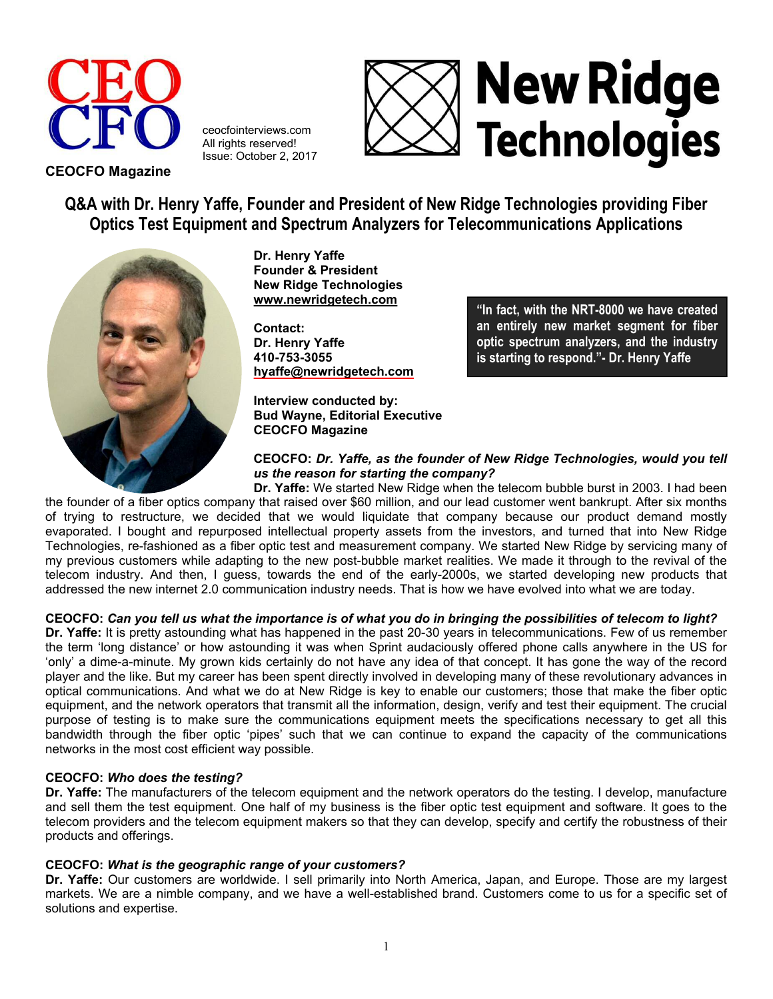

ceocfointerviews.com All rights reserved! Issue: October 2, 2017



# **New Ridge** Technologies

**Q&A with Dr. Henry Yaffe, Founder and President of New Ridge Technologies providing Fiber Optics Test Equipment and Spectrum Analyzers for Telecommunications Applications**



**Dr. Henry Yaffe Founder & President New Ridge Technologies [www.newridgetech.com](http://www.newridgetech.com/)** 

**Contact: Dr. Henry Yaffe 410-753-3055 [hyaffe@newridgetech.com](mailto:hyaffe@newridgetech.com)** 

**Interview conducted by: Bud Wayne, Editorial Executive CEOCFO Magazine**

**"In fact, with the NRT-8000 we have created an entirely new market segment for fiber optic spectrum analyzers, and the industry is starting to respond."- Dr. Henry Yaffe**

# **CEOCFO:** *Dr. Yaffe, as the founder of New Ridge Technologies, would you tell us the reason for starting the company?*

**Dr. Yaffe:** We started New Ridge when the telecom bubble burst in 2003. I had been the founder of a fiber optics company that raised over \$60 million, and our lead customer went bankrupt. After six months of trying to restructure, we decided that we would liquidate that company because our product demand mostly evaporated. I bought and repurposed intellectual property assets from the investors, and turned that into New Ridge Technologies, re-fashioned as a fiber optic test and measurement company. We started New Ridge by servicing many of my previous customers while adapting to the new post-bubble market realities. We made it through to the revival of the telecom industry. And then, I guess, towards the end of the early-2000s, we started developing new products that addressed the new internet 2.0 communication industry needs. That is how we have evolved into what we are today.

# **CEOCFO:** *Can you tell us what the importance is of what you do in bringing the possibilities of telecom to light?*

**Dr. Yaffe:** It is pretty astounding what has happened in the past 20-30 years in telecommunications. Few of us remember the term 'long distance' or how astounding it was when Sprint audaciously offered phone calls anywhere in the US for 'only' a dime-a-minute. My grown kids certainly do not have any idea of that concept. It has gone the way of the record player and the like. But my career has been spent directly involved in developing many of these revolutionary advances in optical communications. And what we do at New Ridge is key to enable our customers; those that make the fiber optic equipment, and the network operators that transmit all the information, design, verify and test their equipment. The crucial purpose of testing is to make sure the communications equipment meets the specifications necessary to get all this bandwidth through the fiber optic 'pipes' such that we can continue to expand the capacity of the communications networks in the most cost efficient way possible.

# **CEOCFO:** *Who does the testing?*

**Dr. Yaffe:** The manufacturers of the telecom equipment and the network operators do the testing. I develop, manufacture and sell them the test equipment. One half of my business is the fiber optic test equipment and software. It goes to the telecom providers and the telecom equipment makers so that they can develop, specify and certify the robustness of their products and offerings.

# **CEOCFO:** *What is the geographic range of your customers?*

**Dr. Yaffe:** Our customers are worldwide. I sell primarily into North America, Japan, and Europe. Those are my largest markets. We are a nimble company, and we have a well-established brand. Customers come to us for a specific set of solutions and expertise.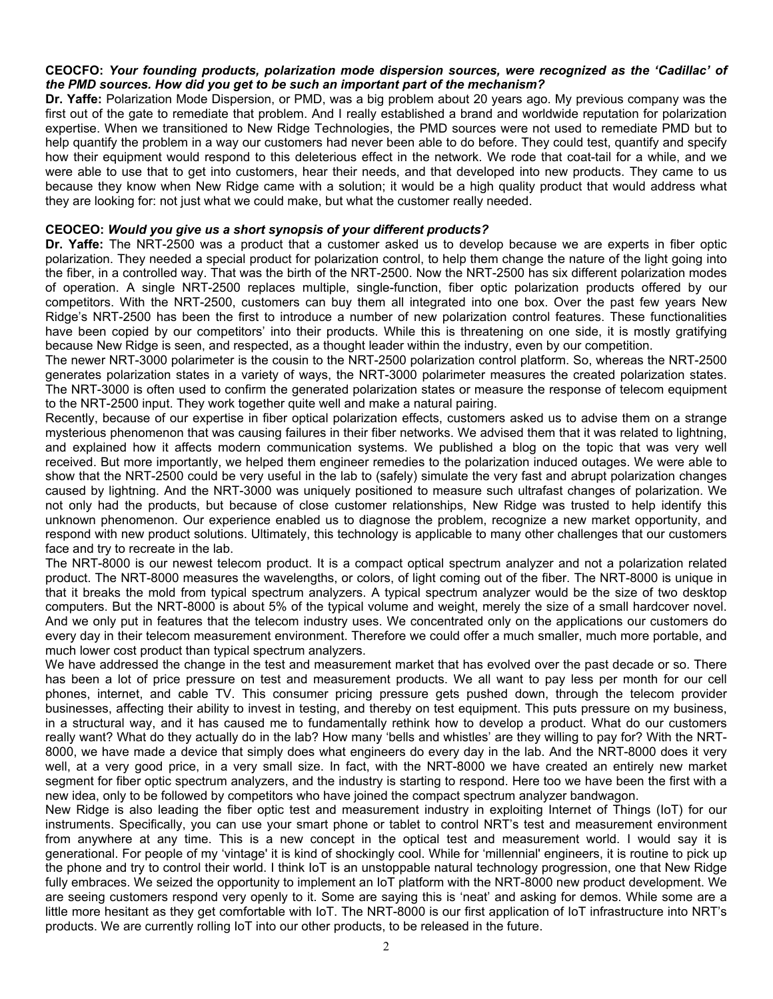#### **CEOCFO:** *Your founding products, polarization mode dispersion sources, were recognized as the 'Cadillac' of the PMD sources. How did you get to be such an important part of the mechanism?*

**Dr. Yaffe:** Polarization Mode Dispersion, or PMD, was a big problem about 20 years ago. My previous company was the first out of the gate to remediate that problem. And I really established a brand and worldwide reputation for polarization expertise. When we transitioned to New Ridge Technologies, the PMD sources were not used to remediate PMD but to help quantify the problem in a way our customers had never been able to do before. They could test, quantify and specify how their equipment would respond to this deleterious effect in the network. We rode that coat-tail for a while, and we were able to use that to get into customers, hear their needs, and that developed into new products. They came to us because they know when New Ridge came with a solution; it would be a high quality product that would address what they are looking for: not just what we could make, but what the customer really needed.

#### **CEOCEO:** *Would you give us a short synopsis of your different products?*

**Dr. Yaffe:** The NRT-2500 was a product that a customer asked us to develop because we are experts in fiber optic polarization. They needed a special product for polarization control, to help them change the nature of the light going into the fiber, in a controlled way. That was the birth of the NRT-2500. Now the NRT-2500 has six different polarization modes of operation. A single NRT-2500 replaces multiple, single-function, fiber optic polarization products offered by our competitors. With the NRT-2500, customers can buy them all integrated into one box. Over the past few years New Ridge's NRT-2500 has been the first to introduce a number of new polarization control features. These functionalities have been copied by our competitors' into their products. While this is threatening on one side, it is mostly gratifying because New Ridge is seen, and respected, as a thought leader within the industry, even by our competition.

The newer NRT-3000 polarimeter is the cousin to the NRT-2500 polarization control platform. So, whereas the NRT-2500 generates polarization states in a variety of ways, the NRT-3000 polarimeter measures the created polarization states. The NRT-3000 is often used to confirm the generated polarization states or measure the response of telecom equipment to the NRT-2500 input. They work together quite well and make a natural pairing.

Recently, because of our expertise in fiber optical polarization effects, customers asked us to advise them on a strange mysterious phenomenon that was causing failures in their fiber networks. We advised them that it was related to lightning, and explained how it affects modern communication systems. We published a blog on the topic that was very well received. But more importantly, we helped them engineer remedies to the polarization induced outages. We were able to show that the NRT-2500 could be very useful in the lab to (safely) simulate the very fast and abrupt polarization changes caused by lightning. And the NRT-3000 was uniquely positioned to measure such ultrafast changes of polarization. We not only had the products, but because of close customer relationships, New Ridge was trusted to help identify this unknown phenomenon. Our experience enabled us to diagnose the problem, recognize a new market opportunity, and respond with new product solutions. Ultimately, this technology is applicable to many other challenges that our customers face and try to recreate in the lab.

The NRT-8000 is our newest telecom product. It is a compact optical spectrum analyzer and not a polarization related product. The NRT-8000 measures the wavelengths, or colors, of light coming out of the fiber. The NRT-8000 is unique in that it breaks the mold from typical spectrum analyzers. A typical spectrum analyzer would be the size of two desktop computers. But the NRT-8000 is about 5% of the typical volume and weight, merely the size of a small hardcover novel. And we only put in features that the telecom industry uses. We concentrated only on the applications our customers do every day in their telecom measurement environment. Therefore we could offer a much smaller, much more portable, and much lower cost product than typical spectrum analyzers.

We have addressed the change in the test and measurement market that has evolved over the past decade or so. There has been a lot of price pressure on test and measurement products. We all want to pay less per month for our cell phones, internet, and cable TV. This consumer pricing pressure gets pushed down, through the telecom provider businesses, affecting their ability to invest in testing, and thereby on test equipment. This puts pressure on my business, in a structural way, and it has caused me to fundamentally rethink how to develop a product. What do our customers really want? What do they actually do in the lab? How many 'bells and whistles' are they willing to pay for? With the NRT-8000, we have made a device that simply does what engineers do every day in the lab. And the NRT-8000 does it very well, at a very good price, in a very small size. In fact, with the NRT-8000 we have created an entirely new market segment for fiber optic spectrum analyzers, and the industry is starting to respond. Here too we have been the first with a new idea, only to be followed by competitors who have joined the compact spectrum analyzer bandwagon.

New Ridge is also leading the fiber optic test and measurement industry in exploiting Internet of Things (IoT) for our instruments. Specifically, you can use your smart phone or tablet to control NRT's test and measurement environment from anywhere at any time. This is a new concept in the optical test and measurement world. I would say it is generational. For people of my 'vintage' it is kind of shockingly cool. While for 'millennial' engineers, it is routine to pick up the phone and try to control their world. I think IoT is an unstoppable natural technology progression, one that New Ridge fully embraces. We seized the opportunity to implement an IoT platform with the NRT-8000 new product development. We are seeing customers respond very openly to it. Some are saying this is 'neat' and asking for demos. While some are a little more hesitant as they get comfortable with IoT. The NRT-8000 is our first application of IoT infrastructure into NRT's products. We are currently rolling IoT into our other products, to be released in the future.